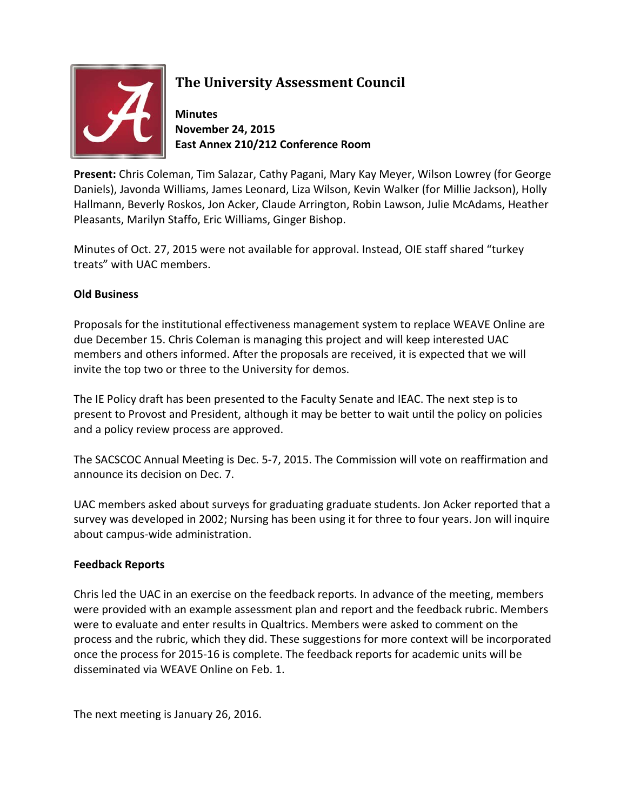

## **The University Assessment Council**

**Minutes November 24, 2015 East Annex 210/212 Conference Room**

**Present:** Chris Coleman, Tim Salazar, Cathy Pagani, Mary Kay Meyer, Wilson Lowrey (for George Daniels), Javonda Williams, James Leonard, Liza Wilson, Kevin Walker (for Millie Jackson), Holly Hallmann, Beverly Roskos, Jon Acker, Claude Arrington, Robin Lawson, Julie McAdams, Heather Pleasants, Marilyn Staffo, Eric Williams, Ginger Bishop.

Minutes of Oct. 27, 2015 were not available for approval. Instead, OIE staff shared "turkey treats" with UAC members.

## **Old Business**

Proposals for the institutional effectiveness management system to replace WEAVE Online are due December 15. Chris Coleman is managing this project and will keep interested UAC members and others informed. After the proposals are received, it is expected that we will invite the top two or three to the University for demos.

The IE Policy draft has been presented to the Faculty Senate and IEAC. The next step is to present to Provost and President, although it may be better to wait until the policy on policies and a policy review process are approved.

The SACSCOC Annual Meeting is Dec. 5-7, 2015. The Commission will vote on reaffirmation and announce its decision on Dec. 7.

UAC members asked about surveys for graduating graduate students. Jon Acker reported that a survey was developed in 2002; Nursing has been using it for three to four years. Jon will inquire about campus-wide administration.

## **Feedback Reports**

Chris led the UAC in an exercise on the feedback reports. In advance of the meeting, members were provided with an example assessment plan and report and the feedback rubric. Members were to evaluate and enter results in Qualtrics. Members were asked to comment on the process and the rubric, which they did. These suggestions for more context will be incorporated once the process for 2015-16 is complete. The feedback reports for academic units will be disseminated via WEAVE Online on Feb. 1.

The next meeting is January 26, 2016.